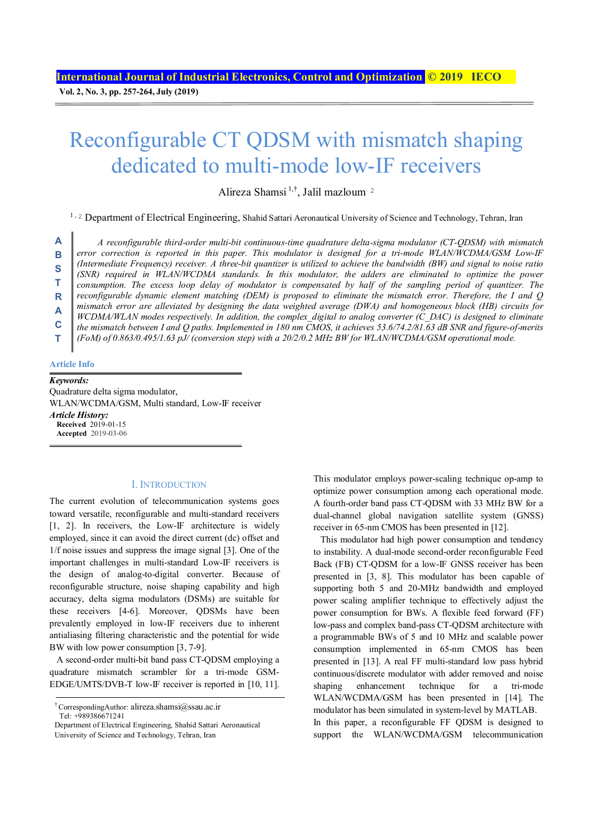**Vol. 2, No. 3, pp. 257-264, July (2019)**

# Reconfigurable CT QDSM with mismatch shaping dedicated to multi-mode low-IF receivers

Alireza Shamsi 1,†, Jalil mazloum<sup>2</sup>

<sup>1, 2</sup> Department of Electrical Engineering, Shahid Sattari Aeronautical University of Science and Technology, Tehran, Iran

*A reconfigurable third-order multi-bit continuous-time quadrature delta-sigma modulator (CT-QDSM) with mismatch error correction is reported in this paper. This modulator is designed for a tri-mode WLAN/WCDMA/GSM Low-IF (Intermediate Frequency) receiver. A three-bit quantizer is utilized to achieve the bandwidth (BW) and signal to noise ratio (SNR) required in WLAN/WCDMA standards. In this modulator, the adders are eliminated to optimize the power consumption. The excess loop delay of modulator is compensated by half of the sampling period of quantizer. The reconfigurable dynamic element matching (DEM) is proposed to eliminate the mismatch error. Therefore, the I and Q mismatch error are alleviated by designing the data weighted average (DWA) and homogeneous block (HB) circuits for WCDMA/WLAN modes respectively. In addition, the complex\_digital to analog converter (C\_DAC) is designed to eliminate the mismatch between I and Q paths. Implemented in 180 nm CMOS, it achieves 53.6/74.2/81.63 dB SNR and figure-of-merits (FoM) of 0.863/0.495/1.63 pJ/ (conversion step) with a 20/2/0.2 MHz BW for WLAN/WCDMA/GSM operational mode.* **A B S T R A C T** 

#### **Article Info**

#### *Keywords:*

Quadrature delta sigma modulator, WLAN/WCDMA/GSM, Multi standard, Low-IF receiver *Article History:*  **Received** 2019-01-15 **Accepted** 2019-03-06

## I. INTRODUCTION

The current evolution of telecommunication systems goes toward versatile, reconfigurable and multi-standard receivers [1, 2]. In receivers, the Low-IF architecture is widely employed, since it can avoid the direct current (dc) offset and 1/f noise issues and suppress the image signal [3]. One of the important challenges in multi-standard Low-IF receivers is the design of analog-to-digital converter. Because of reconfigurable structure, noise shaping capability and high accuracy, delta sigma modulators (DSMs) are suitable for these receivers [4-6]. Moreover, QDSMs have been prevalently employed in low-IF receivers due to inherent antialiasing filtering characteristic and the potential for wide BW with low power consumption [3, 7-9].

A second-order multi-bit band pass CT-QDSM employing a quadrature mismatch scrambler for a tri-mode GSM-EDGE/UMTS/DVB-T low-IF receiver is reported in [10, 11].

This modulator employs power-scaling technique op-amp to optimize power consumption among each operational mode. A fourth-order band pass CT-QDSM with 33 MHz BW for a dual-channel global navigation satellite system (GNSS) receiver in 65-nm CMOS has been presented in [12].

This modulator had high power consumption and tendency to instability. A dual-mode second-order reconfigurable Feed Back (FB) CT-QDSM for a low-IF GNSS receiver has been presented in [3, 8]. This modulator has been capable of supporting both 5 and 20-MHz bandwidth and employed power scaling amplifier technique to effectively adjust the power consumption for BWs. A flexible feed forward (FF) low-pass and complex band-pass CT-QDSM architecture with a programmable BWs of 5 and 10 MHz and scalable power consumption implemented in 65-nm CMOS has been presented in [13]. A real FF multi-standard low pass hybrid continuous/discrete modulator with adder removed and noise shaping enhancement technique for a tri-mode WLAN/WCDMA/GSM has been presented in [14]. The modulator has been simulated in system-level by MATLAB. In this paper, a reconfigurable FF QDSM is designed to support the WLAN/WCDMA/GSM telecommunication

<sup>†</sup> CorrespondingAuthor: alireza.shamsi@ssau.ac.ir

Tel: +989386671241

Department of Electrical Engineering, Shahid Sattari Aeronautical University of Science and Technology, Tehran, Iran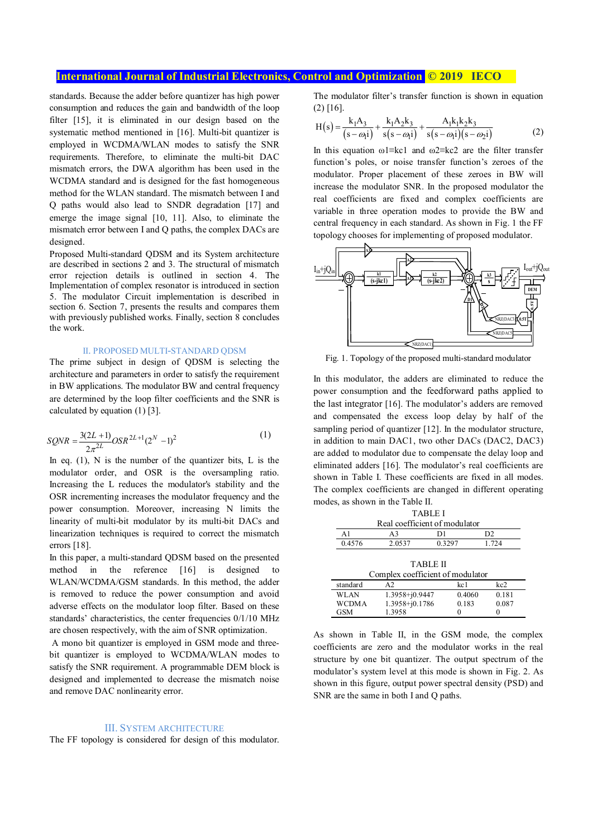## **International Journal of Industrial Electronics, Control and Optimization © 2019 IECO**

standards. Because the adder before quantizer has high power consumption and reduces the gain and bandwidth of the loop filter [15], it is eliminated in our design based on the systematic method mentioned in [16]. Multi-bit quantizer is employed in WCDMA/WLAN modes to satisfy the SNR requirements. Therefore, to eliminate the multi-bit DAC mismatch errors, the DWA algorithm has been used in the WCDMA standard and is designed for the fast homogeneous method for the WLAN standard. The mismatch between I and Q paths would also lead to SNDR degradation [17] and emerge the image signal [10, 11]. Also, to eliminate the mismatch error between I and Q paths, the complex DACs are designed.

Proposed Multi-standard QDSM and its System architecture are described in sections 2 and 3. The structural of mismatch error rejection details is outlined in section 4. The Implementation of complex resonator is introduced in section 5. The modulator Circuit implementation is described in section 6. Section 7, presents the results and compares them with previously published works. Finally, section 8 concludes the work.

#### II. PROPOSED MULTI-STANDARD QDSM

The prime subject in design of QDSM is selecting the architecture and parameters in order to satisfy the requirement in BW applications. The modulator BW and central frequency are determined by the loop filter coefficients and the SNR is calculated by equation (1) [3].

$$
SQNR = \frac{3(2L+1)}{2\pi^{2L}}OSR^{2L+1}(2^N-1)^2
$$
 (1)

In eq.  $(1)$ , N is the number of the quantizer bits, L is the modulator order, and OSR is the oversampling ratio. Increasing the L reduces the modulator's stability and the OSR incrementing increases the modulator frequency and the power consumption. Moreover, increasing N limits the linearity of multi-bit modulator by its multi-bit DACs and linearization techniques is required to correct the mismatch errors [18].

In this paper, a multi-standard QDSM based on the presented method in the reference [16] is designed to WLAN/WCDMA/GSM standards. In this method, the adder is removed to reduce the power consumption and avoid adverse effects on the modulator loop filter. Based on these standards' characteristics, the center frequencies 0/1/10 MHz are chosen respectively, with the aim of SNR optimization.

 A mono bit quantizer is employed in GSM mode and threebit quantizer is employed to WCDMA/WLAN modes to satisfy the SNR requirement. A programmable DEM block is designed and implemented to decrease the mismatch noise and remove DAC nonlinearity error.

#### III. SYSTEM ARCHITECTURE

The FF topology is considered for design of this modulator.

The modulator filter's transfer function is shown in equation (2) [16].

$$
H(s) = \frac{k_1 A_3}{(s - \omega_1 i)} + \frac{k_1 A_2 k_3}{s(s - \omega_1 i)} + \frac{A_1 k_1 k_2 k_3}{s(s - \omega_1 i)(s - \omega_2 i)}
$$
(2)

In this equation ω1≡kc1 and ω2≡kc2 are the filter transfer function's poles, or noise transfer function's zeroes of the modulator. Proper placement of these zeroes in BW will increase the modulator SNR. In the proposed modulator the real coefficients are fixed and complex coefficients are variable in three operation modes to provide the BW and central frequency in each standard. As shown in Fig. 1 the FF topology chooses for implementing of proposed modulator.



Fig. 1. Topology of the proposed multi-standard modulator

In this modulator, the adders are eliminated to reduce the power consumption and the feedforward paths applied to the last integrator [16]. The modulator's adders are removed and compensated the excess loop delay by half of the sampling period of quantizer [12]. In the modulator structure, in addition to main DAC1, two other DACs (DAC2, DAC3) are added to modulator due to compensate the delay loop and eliminated adders [16]. The modulator's real coefficients are shown in Table I. These coefficients are fixed in all modes. The complex coefficients are changed in different operating modes, as shown in the Table II.

| TABLE I                          |                |        |                 |  |  |  |
|----------------------------------|----------------|--------|-----------------|--|--|--|
| Real coefficient of modulator    |                |        |                 |  |  |  |
| A1                               | D1<br>D2<br>A3 |        |                 |  |  |  |
| 0.4576                           | 2.0537         | 0.3297 | 1.724           |  |  |  |
|                                  |                |        |                 |  |  |  |
| TABLE II                         |                |        |                 |  |  |  |
| Complex coefficient of modulator |                |        |                 |  |  |  |
| standard                         | A <sub>2</sub> | kc1    | kc2             |  |  |  |
| WLAN                             | 1.3958+j0.9447 |        | 0.181<br>0.4060 |  |  |  |
| WCDMA                            | 1.3958+j0.1786 | 0.183  | 0.087           |  |  |  |
| 1.3958<br>GSM                    |                |        |                 |  |  |  |

As shown in Table II, in the GSM mode, the complex coefficients are zero and the modulator works in the real structure by one bit quantizer. The output spectrum of the modulator's system level at this mode is shown in Fig. 2. As shown in this figure, output power spectral density (PSD) and SNR are the same in both I and O paths.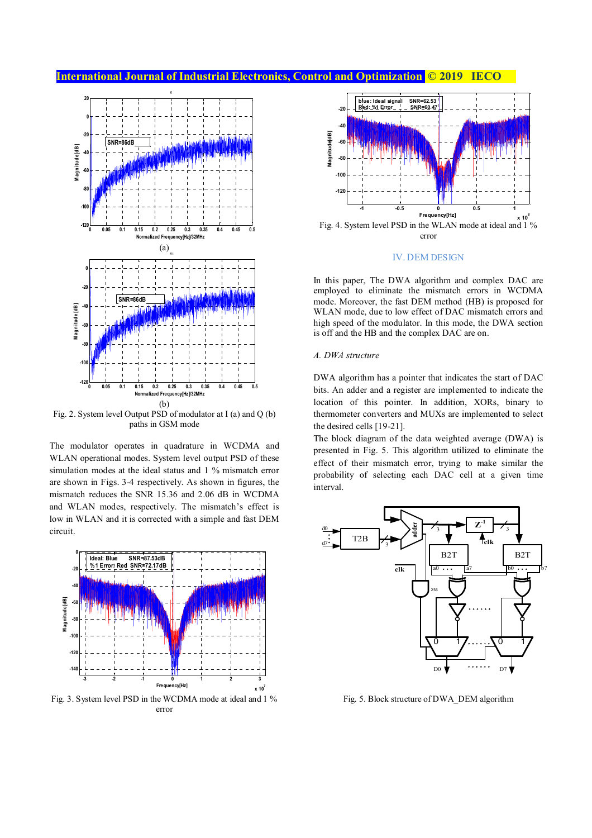# **International Journal of Industrial Electronics, Control and Optimization @ 2019 IECO**



Fig. 2. System level Output PSD of modulator at I (a) and Q (b) paths in GSM mode

The modulator operates in quadrature in WCDMA and WLAN operational modes. System level output PSD of these simulation modes at the ideal status and 1 % mismatch error are shown in Figs. 3-4 respectively. As shown in figures, the mismatch reduces the SNR 15.36 and 2.06 dB in WCDMA and WLAN modes, respectively. The mismatch's effect is low in WLAN and it is corrected with a simple and fast DEM circuit.



Fig. 3. System level PSD in the WCDMA mode at ideal and 1 % error



### IV. DEM DESIGN

In this paper, The DWA algorithm and complex DAC are employed to eliminate the mismatch errors in WCDMA mode. Moreover, the fast DEM method (HB) is proposed for WLAN mode, due to low effect of DAC mismatch errors and high speed of the modulator. In this mode, the DWA section is off and the HB and the complex DAC are on.

## *A. DWA structure*

DWA algorithm has a pointer that indicates the start of DAC bits. An adder and a register are implemented to indicate the location of this pointer. In addition, XORs, binary to thermometer converters and MUXs are implemented to select the desired cells [19-21].

The block diagram of the data weighted average (DWA) is presented in Fig. 5. This algorithm utilized to eliminate the effect of their mismatch error, trying to make similar the probability of selecting each DAC cell at a given time interval.



Fig. 5. Block structure of DWA\_DEM algorithm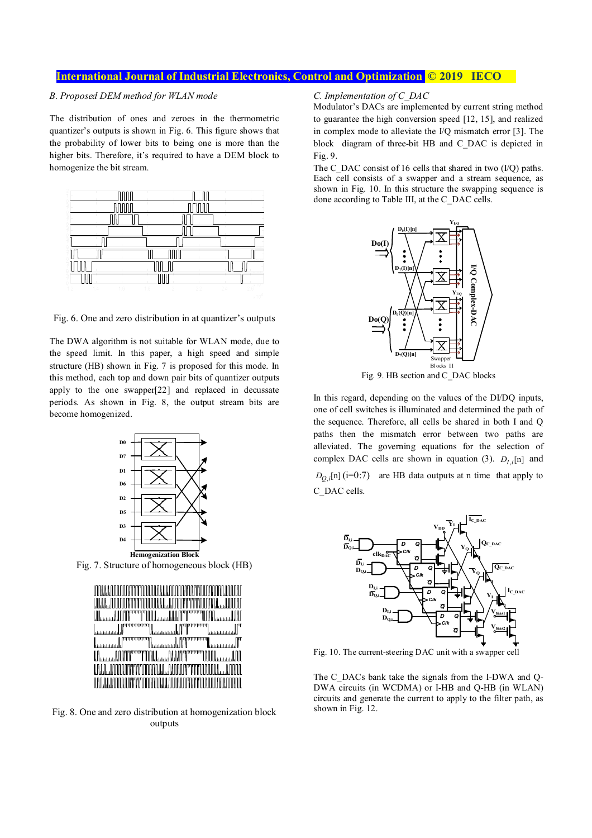## **International Journal of Industrial Electronics, Control and Optimization © 2019 IECO**

## *B. Proposed DEM method for WLAN mode*

The distribution of ones and zeroes in the thermometric quantizer's outputs is shown in Fig. 6. This figure shows that the probability of lower bits to being one is more than the higher bits. Therefore, it's required to have a DEM block to homogenize the bit stream.



Fig. 6. One and zero distribution in at quantizer's outputs

The DWA algorithm is not suitable for WLAN mode, due to the speed limit. In this paper, a high speed and simple structure (HB) shown in Fig. 7 is proposed for this mode. In this method, each top and down pair bits of quantizer outputs apply to the one swapper[22] and replaced in decussate periods. As shown in Fig. 8, the output stream bits are become homogenized.



Fig. 7. Structure of homogeneous block (HB)

|                                    | UNA AAN DOOD TITTOONNA AAN DOOD TOTOONN DADAM           |                              |
|------------------------------------|---------------------------------------------------------|------------------------------|
|                                    | LAKAAOOOOOTTTTOOOOOAAAAOOOTTTTTOOOOOAJJJOOO             |                              |
|                                    | UUJJUUTTTTTUULJJJJUTTTTTUU                              |                              |
| <b>La manager de la componenta</b> |                                                         | Thomas Jan Thomas Thomas Jan |
|                                    |                                                         |                              |
|                                    | <u> հաստատված հայտարարության կանգության կատարանը կա</u> |                              |
|                                    |                                                         |                              |
|                                    | LOJJJOODOOTTTOOOOOJJ.L.JJOODOTTTTOOOOOLJOOOO            |                              |

Fig. 8. One and zero distribution at homogenization block outputs

## *C. Implementation of C\_DAC*

Modulator's DACs are implemented by current string method to guarantee the high conversion speed [12, 15], and realized in complex mode to alleviate the I/Q mismatch error [3]. The block diagram of three-bit HB and C\_DAC is depicted in Fig. 9.

The C\_DAC consist of 16 cells that shared in two (I/Q) paths. Each cell consists of a swapper and a stream sequence, as shown in Fig. 10. In this structure the swapping sequence is done according to Table III, at the C\_DAC cells.



Fig. 9. HB section and C\_DAC blocks

In this regard, depending on the values of the DI/DQ inputs, one of cell switches is illuminated and determined the path of the sequence. Therefore, all cells be shared in both I and Q paths then the mismatch error between two paths are alleviated. The governing equations for the selection of complex DAC cells are shown in equation (3).  $D_{I,i}[n]$  and  $D_{Q_i}[n]$  (i=0:7) are HB data outputs at n time that apply to C\_DAC cells.



Fig. 10. The current-steering DAC unit with a swapper cell

The C\_DACs bank take the signals from the I-DWA and O-DWA circuits (in WCDMA) or I-HB and Q-HB (in WLAN) circuits and generate the current to apply to the filter path, as shown in Fig. 12.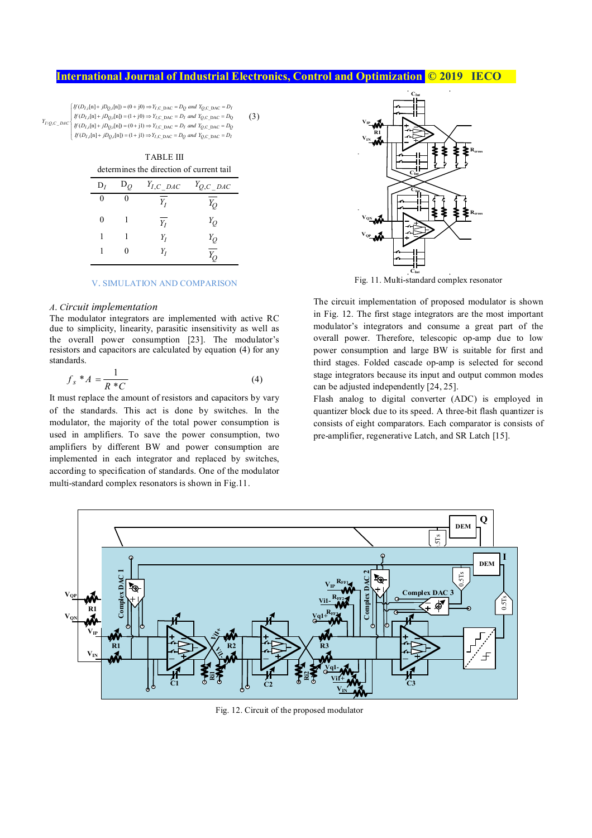# **International Journal of Industrial Electronics, Control and Optimization @ 2019 IECO**

(3)

 $\int [ff(D_{I,i}[n] + jD_{Q,i}[n]) = (0 + j0) \Rightarrow Y_{I,C\_DAC} = D_Q$  and  $Y_{Q,C\_DAC} = D_I$ 

, , ,C\_DAC ,C\_DAC Q ( [n] [n]) (1 j0) *I i Q i I I Q If D jD Y D and Y D* + = + ⇒ = =  $Y_{I/Q, C\_DAC} = D_{I}$  *If*  $(D_{I,i}[n] + jD_{Q,i}[n] = (1 + 10) \Rightarrow Y_{I,C\_DAC} = D_{I}$  and  $Y_{Q,C\_DAC} = D_{Q}$ <br>  $Y_{I/Q, C\_DAC} = D_{I}$  *If*  $(D_{I,i}[n] + jD_{Q,i}[n] = (0 + j1) \Rightarrow Y_{I,C\_DAC} = D_{I}$  *and*  $Y_{Q,C\_DAC} = D_{Q}$ I

 $\int f(D_{I,i}[n] + jD_{Q,i}[n]) = (1 + jI) \Rightarrow Y_{I,C\_DAC} = D_Q$  and  $Y_{Q,C\_DAC} = D_I$ 

| <b>TABLE III</b>                         |  |                                                   |  |  |  |
|------------------------------------------|--|---------------------------------------------------|--|--|--|
| determines the direction of current tail |  |                                                   |  |  |  |
|                                          |  | $D_I$ $D_Q$ $Y_{I,C}$ $D_{AC}$ $Y_{O,C}$ $D_{AC}$ |  |  |  |

| 0 | 0 | $\overline{Y_I}$ | $Y_Q$            |
|---|---|------------------|------------------|
| 0 |   | $\overline{Y_I}$ | $Y_Q$            |
| 1 |   | $Y_I$            | $Y_Q$            |
| 1 | 0 | $Y_I$            | $\overline{Y_Q}$ |

#### V. SIMULATION AND COMPARISON

#### *A. Circuit implementation*

The modulator integrators are implemented with active RC due to simplicity, linearity, parasitic insensitivity as well as the overall power consumption [23]. The modulator's resistors and capacitors are calculated by equation (4) for any standards.

$$
f_s * A = \frac{1}{R * C} \tag{4}
$$

It must replace the amount of resistors and capacitors by vary of the standards. This act is done by switches. In the modulator, the majority of the total power consumption is used in amplifiers. To save the power consumption, two amplifiers by different BW and power consumption are implemented in each integrator and replaced by switches, according to specification of standards. One of the modulator multi-standard complex resonators is shown in Fig.11.



Fig. 11. Multi-standard complex resonator

The circuit implementation of proposed modulator is shown in Fig. 12. The first stage integrators are the most important modulator's integrators and consume a great part of the overall power. Therefore, telescopic op-amp due to low power consumption and large BW is suitable for first and third stages. Folded cascade op-amp is selected for second stage integrators because its input and output common modes can be adjusted independently [24, 25].

Flash analog to digital converter (ADC) is employed in quantizer block due to its speed. A three-bit flash quantizer is consists of eight comparators. Each comparator is consists of pre-amplifier, regenerative Latch, and SR Latch [15].



Fig. 12. Circuit of the proposed modulator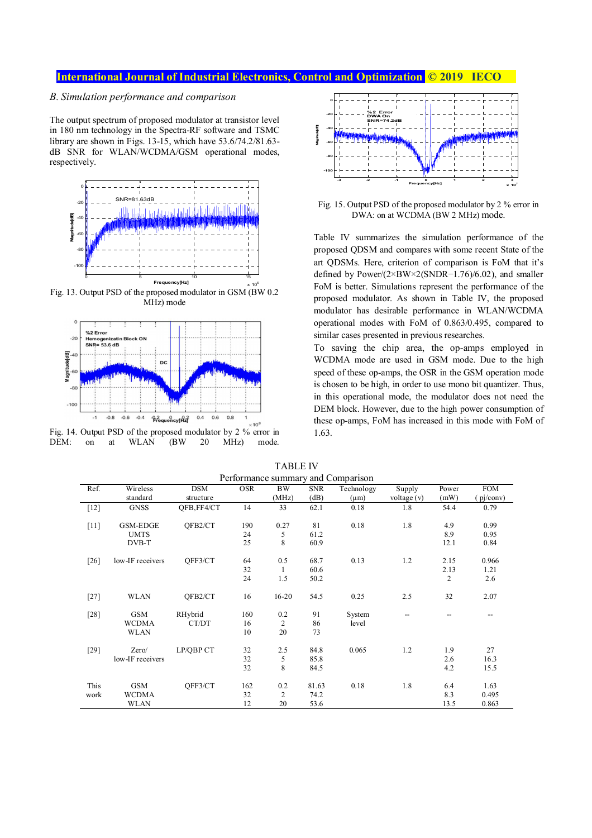# **International Journal of Industrial Electronics, Control and Optimization <b>C** 2019 IECO

## *B. Simulation performance and comparison*

The output spectrum of proposed modulator at transistor level in 180 nm technology in the Spectra-RF software and TSMC library are shown in Figs. 13-15, which have 53.6/74.2/81.63 dB SNR for WLAN/WCDMA/GSM operational modes, respectively.



Fig. 13. Output PSD of the proposed modulator in GSM (BW 0.2 MHz) mode







Fig. 15. Output PSD of the proposed modulator by 2 % error in DWA: on at WCDMA (BW 2 MHz) mode.

Table IV summarizes the simulation performance of the proposed QDSM and compares with some recent State of the art QDSMs. Here, criterion of comparison is FoM that it's defined by Power/(2×BW×2(SNDR−1.76)/6.02), and smaller FoM is better. Simulations represent the performance of the proposed modulator. As shown in Table IV, the proposed modulator has desirable performance in WLAN/WCDMA operational modes with FoM of 0.863/0.495, compared to similar cases presented in previous researches.

To saving the chip area, the op-amps employed in WCDMA mode are used in GSM mode. Due to the high speed of these op-amps, the OSR in the GSM operation mode is chosen to be high, in order to use mono bit quantizer. Thus, in this operational mode, the modulator does not need the DEM block. However, due to the high power consumption of these op-amps, FoM has increased in this mode with FoM of 1.63.

| <b>TABLE IV</b>                    |
|------------------------------------|
| Performance summary and Comparison |

|        |                  |             |            |           |            | I CHOTHIQHCC SUIHING Y ANG COMPANSON |                          |                |             |
|--------|------------------|-------------|------------|-----------|------------|--------------------------------------|--------------------------|----------------|-------------|
| Ref.   | Wireless         | <b>DSM</b>  | <b>OSR</b> | BW        | <b>SNR</b> | Technology                           | Supply                   | Power          | <b>FOM</b>  |
|        | standard         | structure   |            | (MHz)     | (dB)       | $(\mu m)$                            | voltage $(v)$            | (mW)           | $pi/c$ onv) |
| $[12]$ | <b>GNSS</b>      | OFB, FF4/CT | 14         | 33        | 62.1       | 0.18                                 | 1.8                      | 54.4           | 0.79        |
|        |                  |             |            |           |            |                                      |                          |                |             |
| $[11]$ | <b>GSM-EDGE</b>  | OFB2/CT     | 190        | 0.27      | 81         | 0.18                                 | 1.8                      | 4.9            | 0.99        |
|        | <b>UMTS</b>      |             | 24         | 5         | 61.2       |                                      |                          | 8.9            | 0.95        |
|        | DVB-T            |             | 25         | 8         | 60.9       |                                      |                          | 12.1           | 0.84        |
|        |                  |             |            |           |            |                                      |                          |                |             |
| $[26]$ | low-IF receivers | QFF3/CT     | 64         | 0.5       | 68.7       | 0.13                                 | 1.2                      | 2.15           | 0.966       |
|        |                  |             | 32         | 1         | 60.6       |                                      |                          | 2.13           | 1.21        |
|        |                  |             | 24         | 1.5       | 50.2       |                                      |                          | $\overline{c}$ | 2.6         |
|        |                  |             |            |           |            |                                      |                          |                |             |
| $[27]$ | <b>WLAN</b>      | OFB2/CT     | 16         | $16 - 20$ | 54.5       | 0.25                                 | 2.5                      | 32             | 2.07        |
|        |                  |             |            |           |            |                                      |                          |                |             |
| $[28]$ | GSM              | RHybrid     | 160        | 0.2       | 91         | System                               | $\overline{\phantom{0}}$ |                | $- -$       |
|        | <b>WCDMA</b>     | CT/DT       | 16         | 2         | 86         | level                                |                          |                |             |
|        | <b>WLAN</b>      |             | 10         | 20        | 73         |                                      |                          |                |             |
|        |                  |             |            |           |            |                                      |                          |                |             |
| $[29]$ | Zero/            | LP/QBP CT   | 32         | 2.5       | 84.8       | 0.065                                | 1.2                      | 1.9            | 27          |
|        | low-IF receivers |             | 32         | 5         | 85.8       |                                      |                          | 2.6            | 16.3        |
|        |                  |             | 32         | 8         | 84.5       |                                      |                          | 4.2            | 15.5        |
|        |                  |             |            |           |            |                                      |                          |                |             |
| This   | <b>GSM</b>       | OFF3/CT     | 162        | 0.2       | 81.63      | 0.18                                 | 1.8                      | 6.4            | 1.63        |
| work   | <b>WCDMA</b>     |             | 32         | 2         | 74.2       |                                      |                          | 8.3            | 0.495       |
|        | WLAN             |             | 12         | 20        | 53.6       |                                      |                          | 13.5           | 0.863       |
|        |                  |             |            |           |            |                                      |                          |                |             |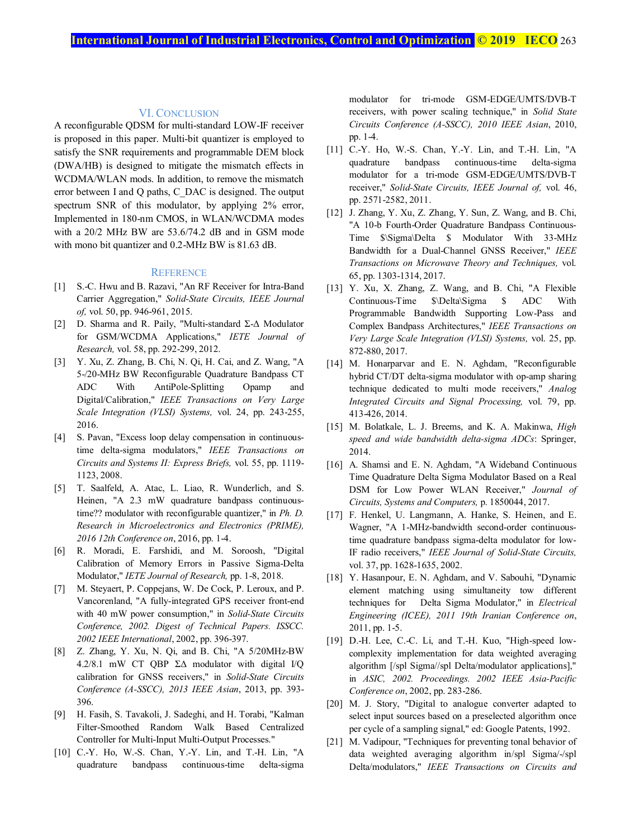#### VI. CONCLUSION

A reconfigurable QDSM for multi-standard LOW-IF receiver is proposed in this paper. Multi-bit quantizer is employed to satisfy the SNR requirements and programmable DEM block (DWA/HB) is designed to mitigate the mismatch effects in WCDMA/WLAN mods. In addition, to remove the mismatch error between I and Q paths, C\_DAC is designed. The output spectrum SNR of this modulator, by applying 2% error, Implemented in 180-nm CMOS, in WLAN/WCDMA modes with a 20/2 MHz BW are 53.6/74.2 dB and in GSM mode with mono bit quantizer and 0.2-MHz BW is 81.63 dB.

#### **REFERENCE**

- [1] S.-C. Hwu and B. Razavi, "An RF Receiver for Intra-Band Carrier Aggregation," *Solid-State Circuits, IEEE Journal of,* vol. 50, pp. 946-961, 2015.
- [2] D. Sharma and R. Paily, "Multi-standard Σ-∆ Modulator for GSM/WCDMA Applications," *IETE Journal of Research,* vol. 58, pp. 292-299, 2012.
- [3] Y. Xu, Z. Zhang, B. Chi, N. Qi, H. Cai, and Z. Wang, "A 5-/20-MHz BW Reconfigurable Quadrature Bandpass CT ADC With AntiPole-Splitting Opamp and Digital/Calibration," *IEEE Transactions on Very Large Scale Integration (VLSI) Systems,* vol. 24, pp. 243-255, 2016.
- [4] S. Pavan, "Excess loop delay compensation in continuoustime delta-sigma modulators," *IEEE Transactions on Circuits and Systems II: Express Briefs,* vol. 55, pp. 1119- 1123, 2008.
- [5] T. Saalfeld, A. Atac, L. Liao, R. Wunderlich, and S. Heinen, "A 2.3 mW quadrature bandpass continuoustime?? modulator with reconfigurable quantizer," in *Ph. D. Research in Microelectronics and Electronics (PRIME), 2016 12th Conference on*, 2016, pp. 1-4.
- [6] R. Moradi, E. Farshidi, and M. Soroosh, "Digital Calibration of Memory Errors in Passive Sigma-Delta Modulator," *IETE Journal of Research,* pp. 1-8, 2018.
- [7] M. Steyaert, P. Coppejans, W. De Cock, P. Leroux, and P. Vancorenland, "A fully-integrated GPS receiver front-end with 40 mW power consumption," in *Solid-State Circuits Conference, 2002. Digest of Technical Papers. ISSCC. 2002 IEEE International*, 2002, pp. 396-397.
- [8] Z. Zhang, Y. Xu, N. Qi, and B. Chi, "A 5/20MHz-BW 4.2/8.1 mW CT QBP Σ∆ modulator with digital I/Q calibration for GNSS receivers," in *Solid-State Circuits Conference (A-SSCC), 2013 IEEE Asian*, 2013, pp. 393- 396.
- [9] H. Fasih, S. Tavakoli, J. Sadeghi, and H. Torabi, "Kalman Filter-Smoothed Random Walk Based Centralized Controller for Multi-Input Multi-Output Processes."
- [10] C.-Y. Ho, W.-S. Chan, Y.-Y. Lin, and T.-H. Lin, "A quadrature bandpass continuous-time delta-sigma

modulator for tri-mode GSM-EDGE/UMTS/DVB-T receivers, with power scaling technique," in *Solid State Circuits Conference (A-SSCC), 2010 IEEE Asian*, 2010, pp. 1-4.

- [11] C.-Y. Ho, W.-S. Chan, Y.-Y. Lin, and T.-H. Lin, "A quadrature bandpass continuous-time delta-sigma modulator for a tri-mode GSM-EDGE/UMTS/DVB-T receiver," *Solid-State Circuits, IEEE Journal of,* vol. 46, pp. 2571-2582, 2011.
- [12] J. Zhang, Y. Xu, Z. Zhang, Y. Sun, Z. Wang, and B. Chi, "A 10-b Fourth-Order Quadrature Bandpass Continuous-Time \$\Sigma\Delta \$ Modulator With 33-MHz Bandwidth for a Dual-Channel GNSS Receiver," *IEEE Transactions on Microwave Theory and Techniques,* vol. 65, pp. 1303-1314, 2017.
- [13] Y. Xu, X. Zhang, Z. Wang, and B. Chi, "A Flexible Continuous-Time \$\Delta\Sigma \$ ADC With Programmable Bandwidth Supporting Low-Pass and Complex Bandpass Architectures," *IEEE Transactions on Very Large Scale Integration (VLSI) Systems,* vol. 25, pp. 872-880, 2017.
- [14] M. Honarparvar and E. N. Aghdam, "Reconfigurable hybrid CT/DT delta-sigma modulator with op-amp sharing technique dedicated to multi mode receivers," *Analog Integrated Circuits and Signal Processing,* vol. 79, pp. 413-426, 2014.
- [15] M. Bolatkale, L. J. Breems, and K. A. Makinwa, *High speed and wide bandwidth delta-sigma ADCs*: Springer, 2014.
- [16] A. Shamsi and E. N. Aghdam, "A Wideband Continuous Time Quadrature Delta Sigma Modulator Based on a Real DSM for Low Power WLAN Receiver," *Journal of Circuits, Systems and Computers,* p. 1850044, 2017.
- [17] F. Henkel, U. Langmann, A. Hanke, S. Heinen, and E. Wagner, "A 1-MHz-bandwidth second-order continuoustime quadrature bandpass sigma-delta modulator for low-IF radio receivers," *IEEE Journal of Solid-State Circuits,*  vol. 37, pp. 1628-1635, 2002.
- [18] Y. Hasanpour, E. N. Aghdam, and V. Sabouhi, "Dynamic element matching using simultaneity tow different techniques for Delta Sigma Modulator," in *Electrical Engineering (ICEE), 2011 19th Iranian Conference on*, 2011, pp. 1-5.
- [19] D.-H. Lee, C.-C. Li, and T.-H. Kuo, "High-speed lowcomplexity implementation for data weighted averaging algorithm [/spl Sigma//spl Delta/modulator applications]," in *ASIC, 2002. Proceedings. 2002 IEEE Asia-Pacific Conference on*, 2002, pp. 283-286.
- [20] M. J. Story, "Digital to analogue converter adapted to select input sources based on a preselected algorithm once per cycle of a sampling signal," ed: Google Patents, 1992.
- [21] M. Vadipour, "Techniques for preventing tonal behavior of data weighted averaging algorithm in/spl Sigma/-/spl Delta/modulators," *IEEE Transactions on Circuits and*